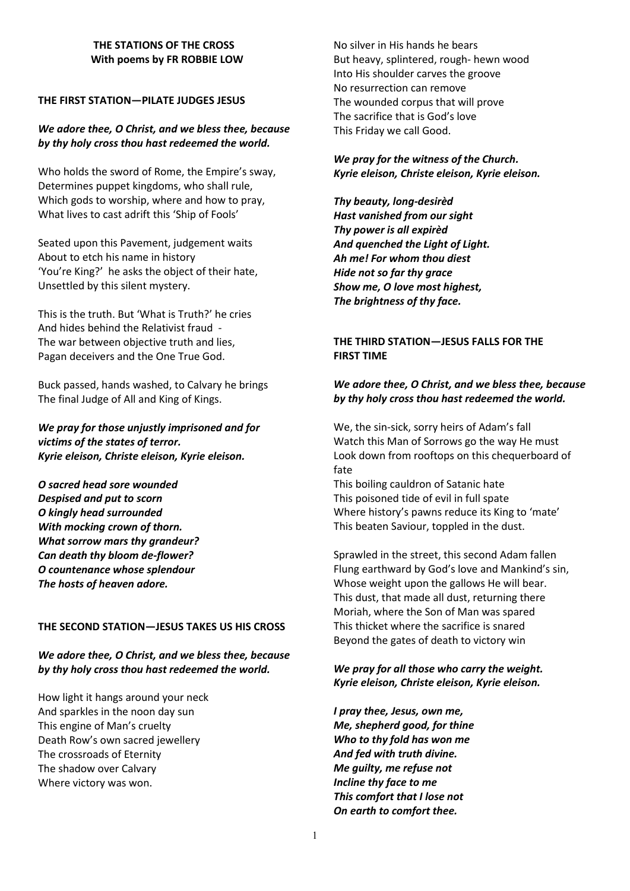#### **THE STATIONS OF THE CROSS With poems by FR ROBBIE LOW**

## **THE FIRST STATION—PILATE JUDGES JESUS**

## *We adore thee, O Christ, and we bless thee, because by thy holy cross thou hast redeemed the world.*

Who holds the sword of Rome, the Empire's sway, Determines puppet kingdoms, who shall rule, Which gods to worship, where and how to pray, What lives to cast adrift this 'Ship of Fools'

Seated upon this Pavement, judgement waits About to etch his name in history 'You're King?' he asks the object of their hate, Unsettled by this silent mystery.

This is the truth. But 'What is Truth?' he cries And hides behind the Relativist fraud - The war between objective truth and lies, Pagan deceivers and the One True God.

Buck passed, hands washed, to Calvary he brings The final Judge of All and King of Kings.

*We pray for those unjustly imprisoned and for victims of the states of terror. Kyrie eleison, Christe eleison, Kyrie eleison.*

*O sacred head sore wounded Despised and put to scorn O kingly head surrounded With mocking crown of thorn. What sorrow mars thy grandeur? Can death thy bloom de-flower? O countenance whose splendour The hosts of heaven adore.*

### **THE SECOND STATION—JESUS TAKES US HIS CROSS**

# *We adore thee, O Christ, and we bless thee, because by thy holy cross thou hast redeemed the world.*

How light it hangs around your neck And sparkles in the noon day sun This engine of Man's cruelty Death Row's own sacred jewellery The crossroads of Eternity The shadow over Calvary Where victory was won.

No silver in His hands he bears But heavy, splintered, rough- hewn wood Into His shoulder carves the groove No resurrection can remove The wounded corpus that will prove The sacrifice that is God's love This Friday we call Good.

*We pray for the witness of the Church. Kyrie eleison, Christe eleison, Kyrie eleison.*

*Thy beauty, long-desirèd Hast vanished from our sight Thy power is all expirèd And quenched the Light of Light. Ah me! For whom thou diest Hide not so far thy grace Show me, O love most highest, The brightness of thy face.*

# **THE THIRD STATION—JESUS FALLS FOR THE FIRST TIME**

# *We adore thee, O Christ, and we bless thee, because by thy holy cross thou hast redeemed the world.*

We, the sin-sick, sorry heirs of Adam's fall Watch this Man of Sorrows go the way He must Look down from rooftops on this chequerboard of fate

This boiling cauldron of Satanic hate This poisoned tide of evil in full spate Where history's pawns reduce its King to 'mate' This beaten Saviour, toppled in the dust.

Sprawled in the street, this second Adam fallen Flung earthward by God's love and Mankind's sin, Whose weight upon the gallows He will bear. This dust, that made all dust, returning there Moriah, where the Son of Man was spared This thicket where the sacrifice is snared Beyond the gates of death to victory win

# *We pray for all those who carry the weight. Kyrie eleison, Christe eleison, Kyrie eleison.*

*I pray thee, Jesus, own me, Me, shepherd good, for thine Who to thy fold has won me And fed with truth divine. Me guilty, me refuse not Incline thy face to me This comfort that I lose not On earth to comfort thee.*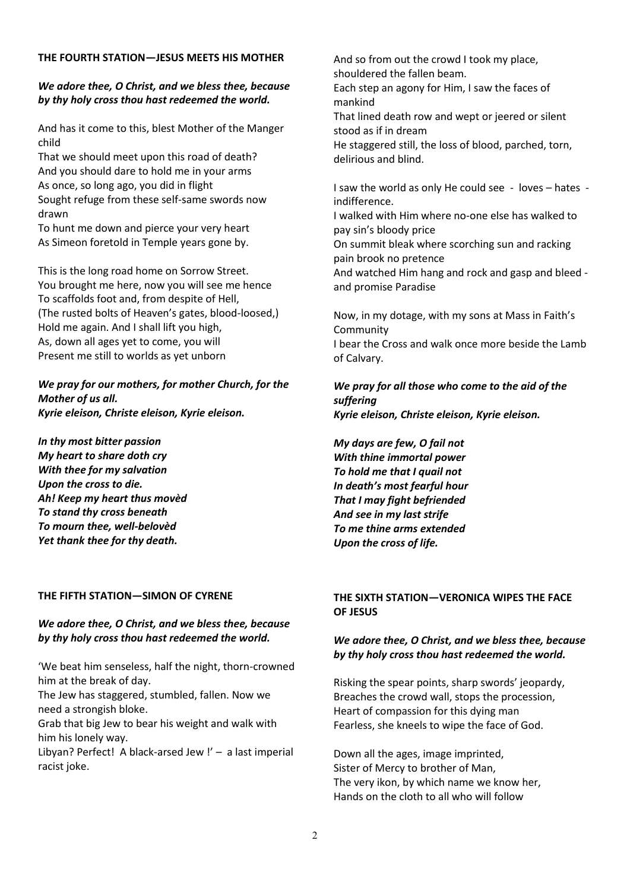#### **THE FOURTH STATION—JESUS MEETS HIS MOTHER**

# *We adore thee, O Christ, and we bless thee, because by thy holy cross thou hast redeemed the world.*

And has it come to this, blest Mother of the Manger child

That we should meet upon this road of death? And you should dare to hold me in your arms As once, so long ago, you did in flight Sought refuge from these self-same swords now drawn

To hunt me down and pierce your very heart As Simeon foretold in Temple years gone by.

This is the long road home on Sorrow Street. You brought me here, now you will see me hence To scaffolds foot and, from despite of Hell, (The rusted bolts of Heaven's gates, blood-loosed,) Hold me again. And I shall lift you high, As, down all ages yet to come, you will Present me still to worlds as yet unborn

*We pray for our mothers, for mother Church, for the Mother of us all. Kyrie eleison, Christe eleison, Kyrie eleison.*

*In thy most bitter passion My heart to share doth cry With thee for my salvation Upon the cross to die. Ah! Keep my heart thus movèd To stand thy cross beneath To mourn thee, well-belovèd Yet thank thee for thy death.*

### **THE FIFTH STATION—SIMON OF CYRENE**

# *We adore thee, O Christ, and we bless thee, because by thy holy cross thou hast redeemed the world.*

'We beat him senseless, half the night, thorn-crowned him at the break of day.

The Jew has staggered, stumbled, fallen. Now we need a strongish bloke.

Grab that big Jew to bear his weight and walk with him his lonely way.

Libyan? Perfect! A black-arsed Jew !' – a last imperial racist joke.

And so from out the crowd I took my place, shouldered the fallen beam.

Each step an agony for Him, I saw the faces of mankind

That lined death row and wept or jeered or silent stood as if in dream

He staggered still, the loss of blood, parched, torn, delirious and blind.

I saw the world as only He could see - loves – hates indifference.

I walked with Him where no-one else has walked to pay sin's bloody price

On summit bleak where scorching sun and racking pain brook no pretence

And watched Him hang and rock and gasp and bleed and promise Paradise

Now, in my dotage, with my sons at Mass in Faith's **Community** I bear the Cross and walk once more beside the Lamb of Calvary.

*We pray for all those who come to the aid of the suffering Kyrie eleison, Christe eleison, Kyrie eleison.*

*My days are few, O fail not With thine immortal power To hold me that I quail not In death's most fearful hour That I may fight befriended And see in my last strife To me thine arms extended Upon the cross of life.*

# **THE SIXTH STATION—VERONICA WIPES THE FACE OF JESUS**

# *We adore thee, O Christ, and we bless thee, because by thy holy cross thou hast redeemed the world.*

Risking the spear points, sharp swords' jeopardy, Breaches the crowd wall, stops the procession, Heart of compassion for this dying man Fearless, she kneels to wipe the face of God.

Down all the ages, image imprinted, Sister of Mercy to brother of Man, The very ikon, by which name we know her, Hands on the cloth to all who will follow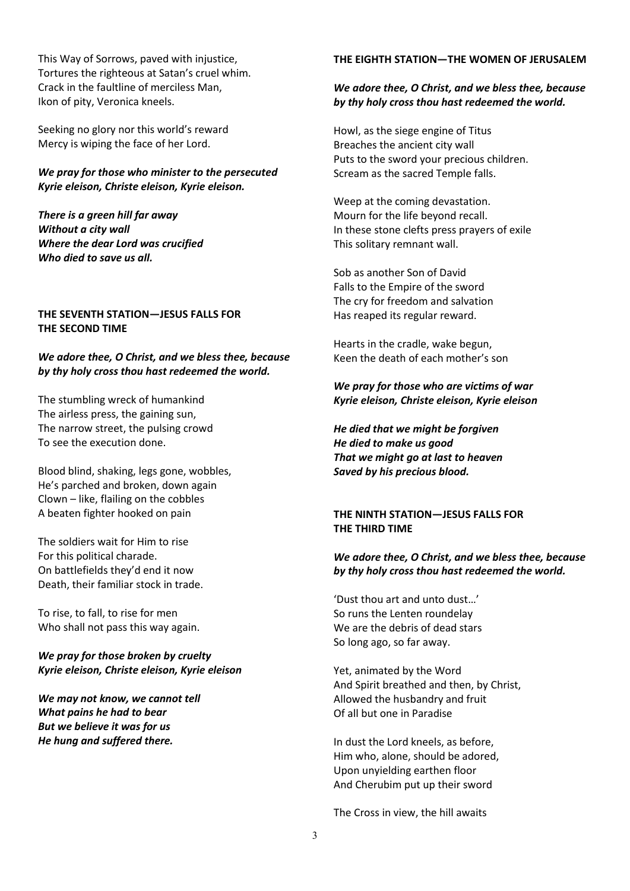This Way of Sorrows, paved with injustice, Tortures the righteous at Satan's cruel whim. Crack in the faultline of merciless Man, Ikon of pity, Veronica kneels.

Seeking no glory nor this world's reward Mercy is wiping the face of her Lord.

*We pray for those who minister to the persecuted Kyrie eleison, Christe eleison, Kyrie eleison.*

*There is a green hill far away Without a city wall Where the dear Lord was crucified Who died to save us all.*

### **THE SEVENTH STATION—JESUS FALLS FOR THE SECOND TIME**

### *We adore thee, O Christ, and we bless thee, because by thy holy cross thou hast redeemed the world.*

The stumbling wreck of humankind The airless press, the gaining sun, The narrow street, the pulsing crowd To see the execution done.

Blood blind, shaking, legs gone, wobbles, He's parched and broken, down again Clown – like, flailing on the cobbles A beaten fighter hooked on pain

The soldiers wait for Him to rise For this political charade. On battlefields they'd end it now Death, their familiar stock in trade.

To rise, to fall, to rise for men Who shall not pass this way again.

## *We pray for those broken by cruelty Kyrie eleison, Christe eleison, Kyrie eleison*

*We may not know, we cannot tell What pains he had to bear But we believe it was for us He hung and suffered there.*

#### **THE EIGHTH STATION—THE WOMEN OF JERUSALEM**

### *We adore thee, O Christ, and we bless thee, because by thy holy cross thou hast redeemed the world.*

Howl, as the siege engine of Titus Breaches the ancient city wall Puts to the sword your precious children. Scream as the sacred Temple falls.

Weep at the coming devastation. Mourn for the life beyond recall. In these stone clefts press prayers of exile This solitary remnant wall.

Sob as another Son of David Falls to the Empire of the sword The cry for freedom and salvation Has reaped its regular reward.

Hearts in the cradle, wake begun, Keen the death of each mother's son

*We pray for those who are victims of war Kyrie eleison, Christe eleison, Kyrie eleison*

*He died that we might be forgiven He died to make us good That we might go at last to heaven Saved by his precious blood.*

# **THE NINTH STATION—JESUS FALLS FOR THE THIRD TIME**

#### *We adore thee, O Christ, and we bless thee, because by thy holy cross thou hast redeemed the world.*

'Dust thou art and unto dust…' So runs the Lenten roundelay We are the debris of dead stars So long ago, so far away.

Yet, animated by the Word And Spirit breathed and then, by Christ, Allowed the husbandry and fruit Of all but one in Paradise

In dust the Lord kneels, as before, Him who, alone, should be adored, Upon unyielding earthen floor And Cherubim put up their sword

The Cross in view, the hill awaits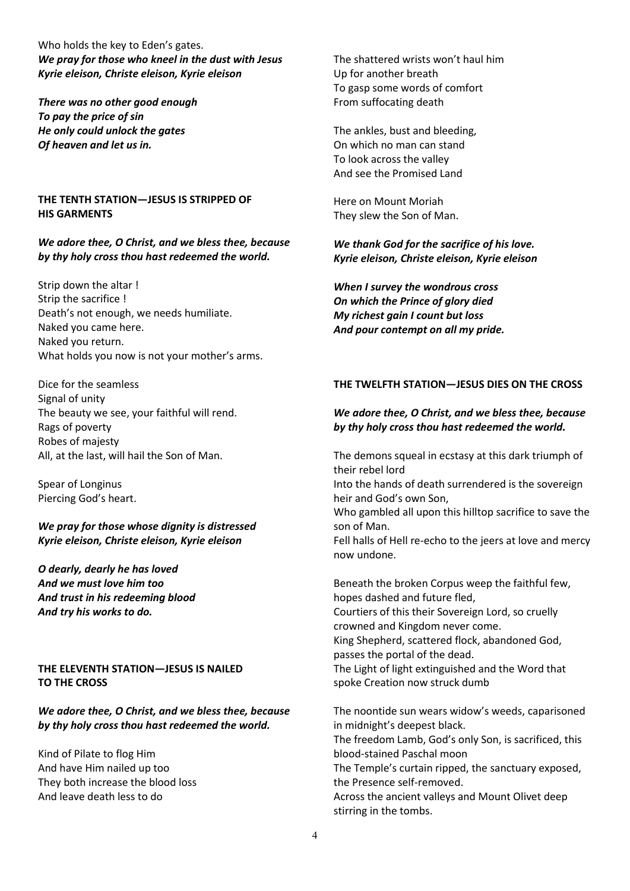Who holds the key to Eden's gates. *We pray for those who kneel in the dust with Jesus Kyrie eleison, Christe eleison, Kyrie eleison*

*There was no other good enough To pay the price of sin He only could unlock the gates Of heaven and let us in.*

### **THE TENTH STATION—JESUS IS STRIPPED OF HIS GARMENTS**

## *We adore thee, O Christ, and we bless thee, because by thy holy cross thou hast redeemed the world.*

Strip down the altar ! Strip the sacrifice ! Death's not enough, we needs humiliate. Naked you came here. Naked you return. What holds you now is not your mother's arms.

Dice for the seamless Signal of unity The beauty we see, your faithful will rend. Rags of poverty Robes of majesty All, at the last, will hail the Son of Man.

Spear of Longinus Piercing God's heart.

*We pray for those whose dignity is distressed Kyrie eleison, Christe eleison, Kyrie eleison*

*O dearly, dearly he has loved And we must love him too And trust in his redeeming blood And try his works to do.*

**THE ELEVENTH STATION—JESUS IS NAILED TO THE CROSS**

*We adore thee, O Christ, and we bless thee, because by thy holy cross thou hast redeemed the world.*

Kind of Pilate to flog Him And have Him nailed up too They both increase the blood loss And leave death less to do

The shattered wrists won't haul him Up for another breath To gasp some words of comfort From suffocating death

The ankles, bust and bleeding, On which no man can stand To look across the valley And see the Promised Land

Here on Mount Moriah They slew the Son of Man.

*We thank God for the sacrifice of his love. Kyrie eleison, Christe eleison, Kyrie eleison*

*When I survey the wondrous cross On which the Prince of glory died My richest gain I count but loss And pour contempt on all my pride.*

## **THE TWELFTH STATION—JESUS DIES ON THE CROSS**

# *We adore thee, O Christ, and we bless thee, because by thy holy cross thou hast redeemed the world.*

The demons squeal in ecstasy at this dark triumph of their rebel lord

Into the hands of death surrendered is the sovereign heir and God's own Son,

Who gambled all upon this hilltop sacrifice to save the son of Man.

Fell halls of Hell re-echo to the jeers at love and mercy now undone.

Beneath the broken Corpus weep the faithful few, hopes dashed and future fled, Courtiers of this their Sovereign Lord, so cruelly crowned and Kingdom never come. King Shepherd, scattered flock, abandoned God, passes the portal of the dead. The Light of light extinguished and the Word that spoke Creation now struck dumb

The noontide sun wears widow's weeds, caparisoned in midnight's deepest black.

The freedom Lamb, God's only Son, is sacrificed, this blood-stained Paschal moon

The Temple's curtain ripped, the sanctuary exposed, the Presence self-removed.

Across the ancient valleys and Mount Olivet deep stirring in the tombs.